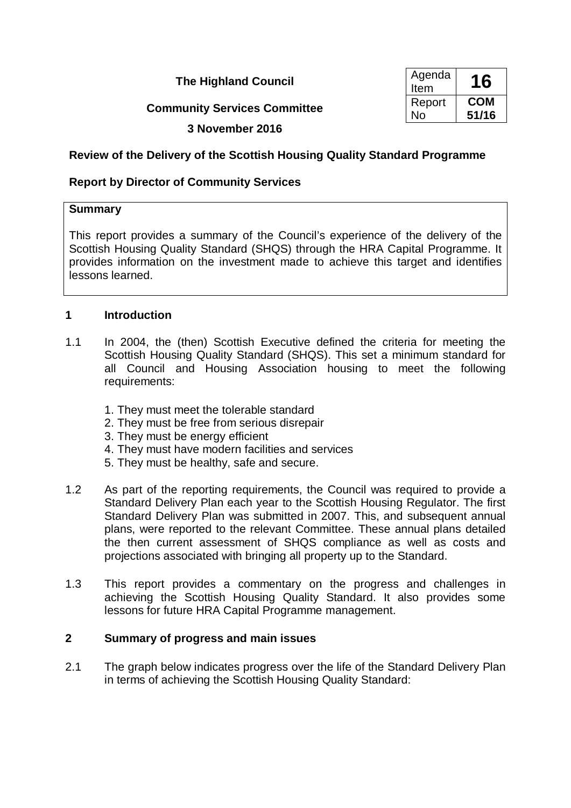## **The Highland Council**

# **Community Services Committee**

| Agenda<br>Item | 16         |
|----------------|------------|
| Report         | <b>COM</b> |
| No             | 51/16      |

## **3 November 2016**

# **Review of the Delivery of the Scottish Housing Quality Standard Programme**

## **Report by Director of Community Services**

### **Summary**

This report provides a summary of the Council's experience of the delivery of the Scottish Housing Quality Standard (SHQS) through the HRA Capital Programme. It provides information on the investment made to achieve this target and identifies lessons learned.

### **1 Introduction**

- 1.1 In 2004, the (then) Scottish Executive defined the criteria for meeting the Scottish Housing Quality Standard (SHQS). This set a minimum standard for all Council and Housing Association housing to meet the following requirements:
	- 1. They must meet the tolerable standard
	- 2. They must be free from serious disrepair
	- 3. They must be energy efficient
	- 4. They must have modern facilities and services
	- 5. They must be healthy, safe and secure.
- 1.2 As part of the reporting requirements, the Council was required to provide a Standard Delivery Plan each year to the Scottish Housing Regulator. The first Standard Delivery Plan was submitted in 2007. This, and subsequent annual plans, were reported to the relevant Committee. These annual plans detailed the then current assessment of SHQS compliance as well as costs and projections associated with bringing all property up to the Standard.
- 1.3 This report provides a commentary on the progress and challenges in achieving the Scottish Housing Quality Standard. It also provides some lessons for future HRA Capital Programme management.

# **2 Summary of progress and main issues**

2.1 The graph below indicates progress over the life of the Standard Delivery Plan in terms of achieving the Scottish Housing Quality Standard: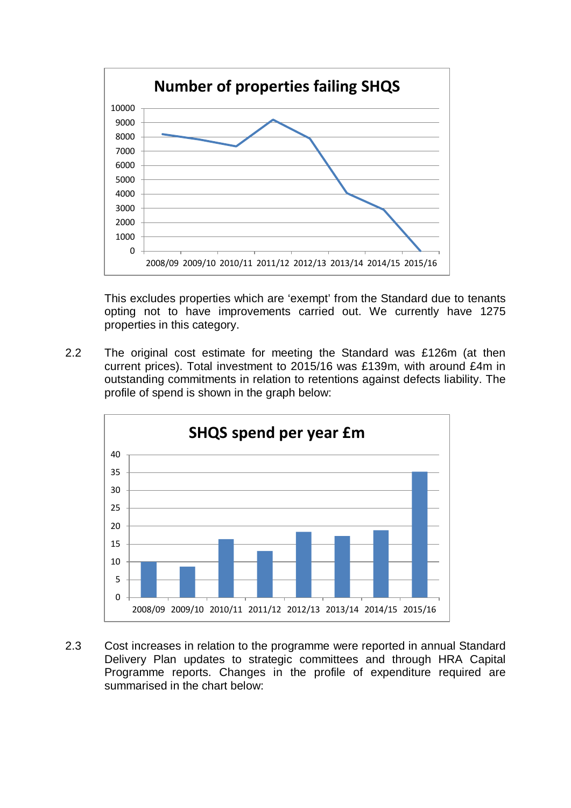

This excludes properties which are 'exempt' from the Standard due to tenants opting not to have improvements carried out. We currently have 1275 properties in this category.

2.2 The original cost estimate for meeting the Standard was £126m (at then current prices). Total investment to 2015/16 was £139m, with around £4m in outstanding commitments in relation to retentions against defects liability. The profile of spend is shown in the graph below:



2.3 Cost increases in relation to the programme were reported in annual Standard Delivery Plan updates to strategic committees and through HRA Capital Programme reports. Changes in the profile of expenditure required are summarised in the chart below: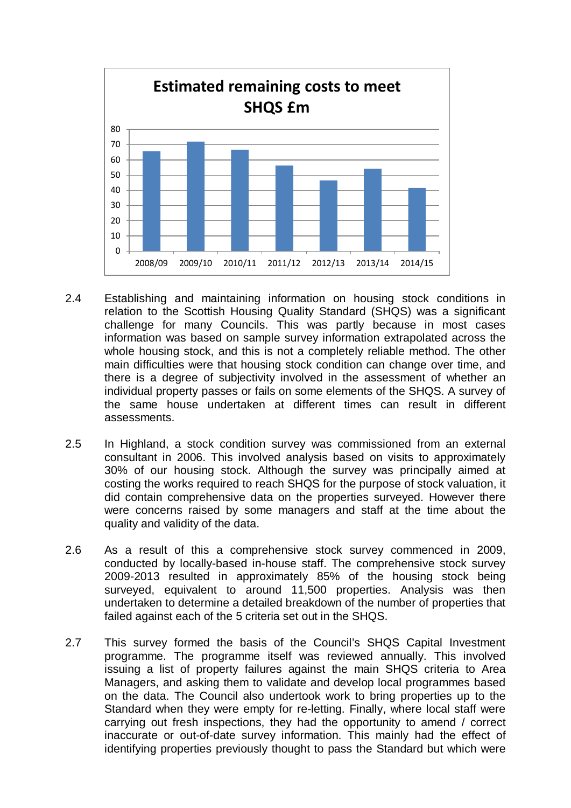

- 2.4 Establishing and maintaining information on housing stock conditions in relation to the Scottish Housing Quality Standard (SHQS) was a significant challenge for many Councils. This was partly because in most cases information was based on sample survey information extrapolated across the whole housing stock, and this is not a completely reliable method. The other main difficulties were that housing stock condition can change over time, and there is a degree of subjectivity involved in the assessment of whether an individual property passes or fails on some elements of the SHQS. A survey of the same house undertaken at different times can result in different assessments.
- 2.5 In Highland, a stock condition survey was commissioned from an external consultant in 2006. This involved analysis based on visits to approximately 30% of our housing stock. Although the survey was principally aimed at costing the works required to reach SHQS for the purpose of stock valuation, it did contain comprehensive data on the properties surveyed. However there were concerns raised by some managers and staff at the time about the quality and validity of the data.
- 2.6 As a result of this a comprehensive stock survey commenced in 2009, conducted by locally-based in-house staff. The comprehensive stock survey 2009-2013 resulted in approximately 85% of the housing stock being surveyed, equivalent to around 11,500 properties. Analysis was then undertaken to determine a detailed breakdown of the number of properties that failed against each of the 5 criteria set out in the SHQS.
- 2.7 This survey formed the basis of the Council's SHQS Capital Investment programme. The programme itself was reviewed annually. This involved issuing a list of property failures against the main SHQS criteria to Area Managers, and asking them to validate and develop local programmes based on the data. The Council also undertook work to bring properties up to the Standard when they were empty for re-letting. Finally, where local staff were carrying out fresh inspections, they had the opportunity to amend / correct inaccurate or out-of-date survey information. This mainly had the effect of identifying properties previously thought to pass the Standard but which were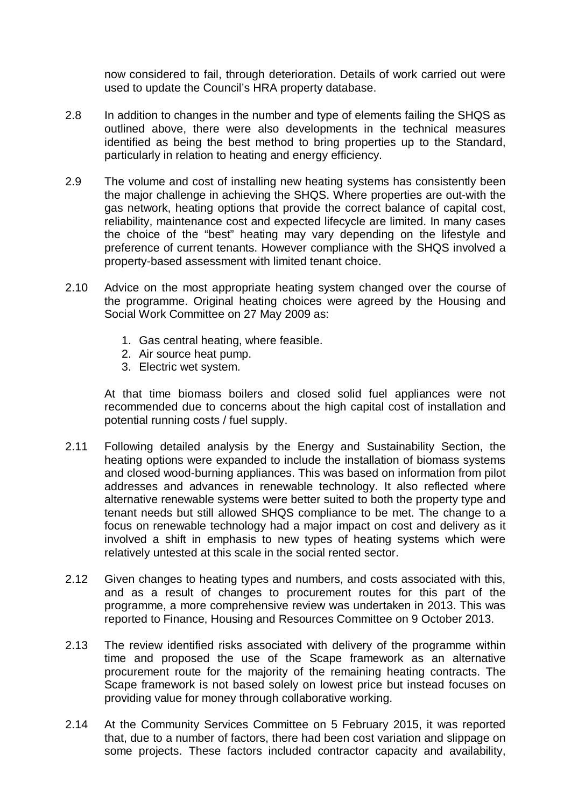now considered to fail, through deterioration. Details of work carried out were used to update the Council's HRA property database.

- 2.8 In addition to changes in the number and type of elements failing the SHQS as outlined above, there were also developments in the technical measures identified as being the best method to bring properties up to the Standard, particularly in relation to heating and energy efficiency.
- 2.9 The volume and cost of installing new heating systems has consistently been the major challenge in achieving the SHQS. Where properties are out-with the gas network, heating options that provide the correct balance of capital cost, reliability, maintenance cost and expected lifecycle are limited. In many cases the choice of the "best" heating may vary depending on the lifestyle and preference of current tenants. However compliance with the SHQS involved a property-based assessment with limited tenant choice.
- 2.10 Advice on the most appropriate heating system changed over the course of the programme. Original heating choices were agreed by the Housing and Social Work Committee on 27 May 2009 as:
	- 1. Gas central heating, where feasible.
	- 2. Air source heat pump.
	- 3. Electric wet system.

At that time biomass boilers and closed solid fuel appliances were not recommended due to concerns about the high capital cost of installation and potential running costs / fuel supply.

- 2.11 Following detailed analysis by the Energy and Sustainability Section, the heating options were expanded to include the installation of biomass systems and closed wood-burning appliances. This was based on information from pilot addresses and advances in renewable technology. It also reflected where alternative renewable systems were better suited to both the property type and tenant needs but still allowed SHQS compliance to be met. The change to a focus on renewable technology had a major impact on cost and delivery as it involved a shift in emphasis to new types of heating systems which were relatively untested at this scale in the social rented sector.
- 2.12 Given changes to heating types and numbers, and costs associated with this, and as a result of changes to procurement routes for this part of the programme, a more comprehensive review was undertaken in 2013. This was reported to Finance, Housing and Resources Committee on 9 October 2013.
- 2.13 The review identified risks associated with delivery of the programme within time and proposed the use of the Scape framework as an alternative procurement route for the majority of the remaining heating contracts. The Scape framework is not based solely on lowest price but instead focuses on providing value for money through collaborative working.
- 2.14 At the Community Services Committee on 5 February 2015, it was reported that, due to a number of factors, there had been cost variation and slippage on some projects. These factors included contractor capacity and availability,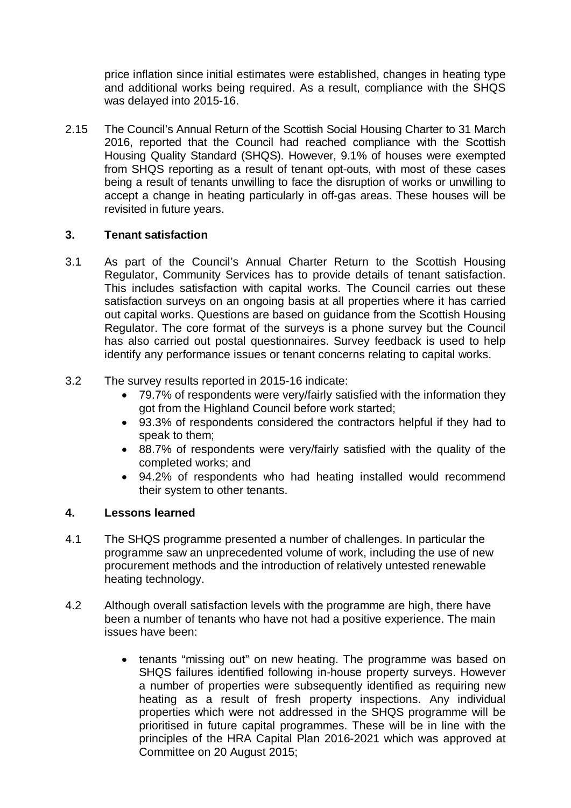price inflation since initial estimates were established, changes in heating type and additional works being required. As a result, compliance with the SHQS was delayed into 2015-16.

2.15 The Council's Annual Return of the Scottish Social Housing Charter to 31 March 2016, reported that the Council had reached compliance with the Scottish Housing Quality Standard (SHQS). However, 9.1% of houses were exempted from SHQS reporting as a result of tenant opt-outs, with most of these cases being a result of tenants unwilling to face the disruption of works or unwilling to accept a change in heating particularly in off-gas areas. These houses will be revisited in future years.

## **3. Tenant satisfaction**

- 3.1 As part of the Council's Annual Charter Return to the Scottish Housing Regulator, Community Services has to provide details of tenant satisfaction. This includes satisfaction with capital works. The Council carries out these satisfaction surveys on an ongoing basis at all properties where it has carried out capital works. Questions are based on guidance from the Scottish Housing Regulator. The core format of the surveys is a phone survey but the Council has also carried out postal questionnaires. Survey feedback is used to help identify any performance issues or tenant concerns relating to capital works.
- 3.2 The survey results reported in 2015-16 indicate:
	- 79.7% of respondents were very/fairly satisfied with the information they got from the Highland Council before work started;
	- 93.3% of respondents considered the contractors helpful if they had to speak to them;
	- 88.7% of respondents were very/fairly satisfied with the quality of the completed works; and
	- 94.2% of respondents who had heating installed would recommend their system to other tenants.

## **4. Lessons learned**

- 4.1 The SHQS programme presented a number of challenges. In particular the programme saw an unprecedented volume of work, including the use of new procurement methods and the introduction of relatively untested renewable heating technology.
- 4.2 Although overall satisfaction levels with the programme are high, there have been a number of tenants who have not had a positive experience. The main issues have been:
	- tenants "missing out" on new heating. The programme was based on SHQS failures identified following in-house property surveys. However a number of properties were subsequently identified as requiring new heating as a result of fresh property inspections. Any individual properties which were not addressed in the SHQS programme will be prioritised in future capital programmes. These will be in line with the principles of the HRA Capital Plan 2016-2021 which was approved at Committee on 20 August 2015;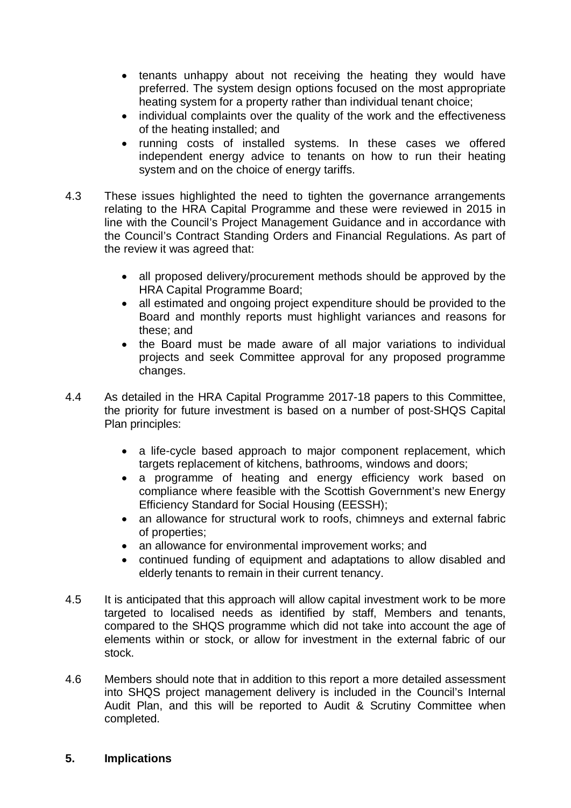- tenants unhappy about not receiving the heating they would have preferred. The system design options focused on the most appropriate heating system for a property rather than individual tenant choice;
- individual complaints over the quality of the work and the effectiveness of the heating installed; and
- running costs of installed systems. In these cases we offered independent energy advice to tenants on how to run their heating system and on the choice of energy tariffs.
- 4.3 These issues highlighted the need to tighten the governance arrangements relating to the HRA Capital Programme and these were reviewed in 2015 in line with the Council's Project Management Guidance and in accordance with the Council's Contract Standing Orders and Financial Regulations. As part of the review it was agreed that:
	- all proposed delivery/procurement methods should be approved by the HRA Capital Programme Board;
	- all estimated and ongoing project expenditure should be provided to the Board and monthly reports must highlight variances and reasons for these; and
	- the Board must be made aware of all major variations to individual projects and seek Committee approval for any proposed programme changes.
- 4.4 As detailed in the HRA Capital Programme 2017-18 papers to this Committee, the priority for future investment is based on a number of post-SHQS Capital Plan principles:
	- a life-cycle based approach to major component replacement, which targets replacement of kitchens, bathrooms, windows and doors;
	- a programme of heating and energy efficiency work based on compliance where feasible with the Scottish Government's new Energy Efficiency Standard for Social Housing (EESSH);
	- an allowance for structural work to roofs, chimneys and external fabric of properties;
	- an allowance for environmental improvement works; and
	- continued funding of equipment and adaptations to allow disabled and elderly tenants to remain in their current tenancy.
- 4.5 It is anticipated that this approach will allow capital investment work to be more targeted to localised needs as identified by staff, Members and tenants, compared to the SHQS programme which did not take into account the age of elements within or stock, or allow for investment in the external fabric of our stock.
- 4.6 Members should note that in addition to this report a more detailed assessment into SHQS project management delivery is included in the Council's Internal Audit Plan, and this will be reported to Audit & Scrutiny Committee when completed.

#### **5. Implications**